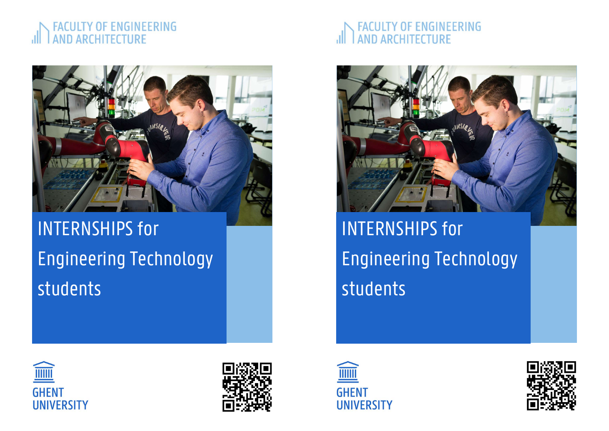### **JLTY OF ENGINEERING AND ARCHITECTURE**



# INTERNSHIPS for Engineering Technology students

### **JLTY OF ENGINEERING AND ARCHITECTURE**



INTERNSHIPS for Engineering Technology students